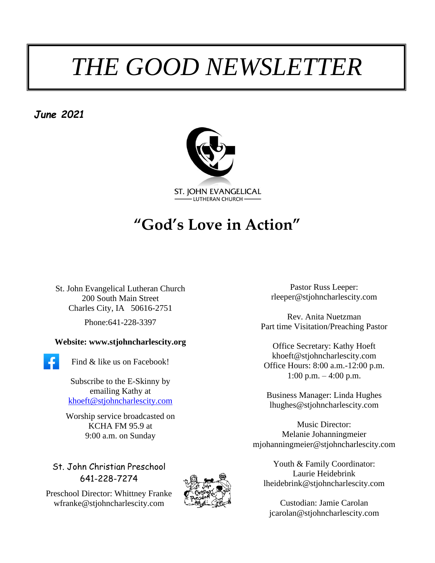# *THE GOOD NEWSLETTER*

*June 2021*



# **"God's Love in Action"**

St. John Evangelical Lutheran Church 200 South Main Street Charles City, IA 50616-2751 Phone:641-228-3397

#### **Website: www.stjohncharlescity.org**

Find & like us on Facebook!

Subscribe to the E-Skinny by emailing Kathy at [khoeft@stjohncharlescity.com](mailto:khoeft@stjohncharlescity.com)

Worship service broadcasted on KCHA FM 95.9 at 9:00 a.m. on Sunday

St. John Christian Preschool 641-228-7274

Preschool Director: Whittney Franke [wfranke@stjohncharlescity.com](mailto:wfranke@stjohncharlescity.com)



Pastor Russ Leeper: [rleeper@stjohncharlescity.com](mailto:rleeper@stjohncharlescity.com)

Rev. Anita Nuetzman Part time Visitation/Preaching Pastor

Office Secretary: Kathy Hoeft [khoeft@stjohncharlescity.com](mailto:khoeft@stjohncharlescity.com) Office Hours: 8:00 a.m.-12:00 p.m. 1:00 p.m.  $-4:00$  p.m.

Business Manager: Linda Hughes lhughes@stjohncharlescity.com

Music Director: Melanie Johanningmeier [mjohanningmeier@stjohncharlescity.com](mailto:mjohanningmeier@stjohncharlescity.com)

Youth & Family Coordinator: Laurie Heidebrink [lheidebrink@stjohncharlescity.com](mailto:lheidebrink@stjohncharlescity.com)

Custodian: Jamie Carolan [jcarolan@stjohncharlescity.com](mailto:jcarolan@stjohncharlescity.com)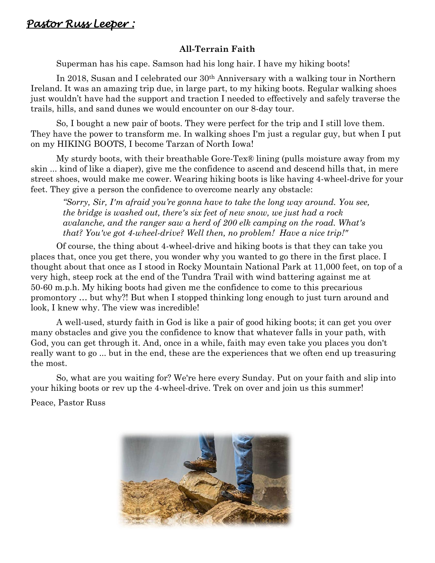#### **All-Terrain Faith**

Superman has his cape. Samson had his long hair. I have my hiking boots!

In 2018, Susan and I celebrated our 30th Anniversary with a walking tour in Northern Ireland. It was an amazing trip due, in large part, to my hiking boots. Regular walking shoes just wouldn't have had the support and traction I needed to effectively and safely traverse the trails, hills, and sand dunes we would encounter on our 8-day tour.

So, I bought a new pair of boots. They were perfect for the trip and I still love them. They have the power to transform me. In walking shoes I'm just a regular guy, but when I put on my HIKING BOOTS, I become Tarzan of North Iowa!

My sturdy boots, with their breathable Gore-Tex® lining (pulls moisture away from my skin ... kind of like a diaper), give me the confidence to ascend and descend hills that, in mere street shoes, would make me cower. Wearing hiking boots is like having 4-wheel-drive for your feet. They give a person the confidence to overcome nearly any obstacle:

*"Sorry, Sir, I'm afraid you're gonna have to take the long way around. You see, the bridge is washed out, there's six feet of new snow, we just had a rock avalanche, and the ranger saw a herd of 200 elk camping on the road. What's that? You've got 4-wheel-drive? Well then, no problem! Have a nice trip!"*

Of course, the thing about 4-wheel-drive and hiking boots is that they can take you places that, once you get there, you wonder why you wanted to go there in the first place. I thought about that once as I stood in Rocky Mountain National Park at 11,000 feet, on top of a very high, steep rock at the end of the Tundra Trail with wind battering against me at 50-60 m.p.h. My hiking boots had given me the confidence to come to this precarious promontory … but why?! But when I stopped thinking long enough to just turn around and look, I knew why. The view was incredible!

A well-used, sturdy faith in God is like a pair of good hiking boots; it can get you over many obstacles and give you the confidence to know that whatever falls in your path, with God, you can get through it. And, once in a while, faith may even take you places you don't really want to go ... but in the end, these are the experiences that we often end up treasuring the most.

So, what are you waiting for? We're here every Sunday. Put on your faith and slip into your hiking boots or rev up the 4-wheel-drive. Trek on over and join us this summer!

Peace, Pastor Russ

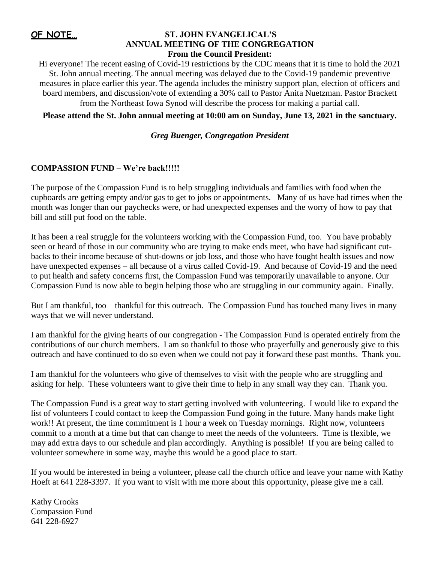#### **OF NOTE…**

#### **ST. JOHN EVANGELICAL'S ANNUAL MEETING OF THE CONGREGATION**

#### **From the Council President:**

Hi everyone! The recent easing of Covid-19 restrictions by the CDC means that it is time to hold the 2021 St. John annual meeting. The annual meeting was delayed due to the Covid-19 pandemic preventive measures in place earlier this year. The agenda includes the ministry support plan, election of officers and board members, and discussion/vote of extending a 30% call to Pastor Anita Nuetzman. Pastor Brackett from the Northeast Iowa Synod will describe the process for making a partial call.

**Please attend the St. John annual meeting at 10:00 am on Sunday, June 13, 2021 in the sanctuary.**

#### *Greg Buenger, Congregation President*

#### **COMPASSION FUND – We're back!!!!!**

The purpose of the Compassion Fund is to help struggling individuals and families with food when the cupboards are getting empty and/or gas to get to jobs or appointments. Many of us have had times when the month was longer than our paychecks were, or had unexpected expenses and the worry of how to pay that bill and still put food on the table.

It has been a real struggle for the volunteers working with the Compassion Fund, too. You have probably seen or heard of those in our community who are trying to make ends meet, who have had significant cutbacks to their income because of shut-downs or job loss, and those who have fought health issues and now have unexpected expenses – all because of a virus called Covid-19. And because of Covid-19 and the need to put health and safety concerns first, the Compassion Fund was temporarily unavailable to anyone. Our Compassion Fund is now able to begin helping those who are struggling in our community again. Finally.

But I am thankful, too – thankful for this outreach. The Compassion Fund has touched many lives in many ways that we will never understand.

I am thankful for the giving hearts of our congregation - The Compassion Fund is operated entirely from the contributions of our church members. I am so thankful to those who prayerfully and generously give to this outreach and have continued to do so even when we could not pay it forward these past months. Thank you.

I am thankful for the volunteers who give of themselves to visit with the people who are struggling and asking for help. These volunteers want to give their time to help in any small way they can. Thank you.

The Compassion Fund is a great way to start getting involved with volunteering. I would like to expand the list of volunteers I could contact to keep the Compassion Fund going in the future. Many hands make light work!! At present, the time commitment is 1 hour a week on Tuesday mornings. Right now, volunteers commit to a month at a time but that can change to meet the needs of the volunteers. Time is flexible, we may add extra days to our schedule and plan accordingly. Anything is possible! If you are being called to volunteer somewhere in some way, maybe this would be a good place to start.

If you would be interested in being a volunteer, please call the church office and leave your name with Kathy Hoeft at 641 228-3397. If you want to visit with me more about this opportunity, please give me a call.

Kathy Crooks Compassion Fund 641 228-6927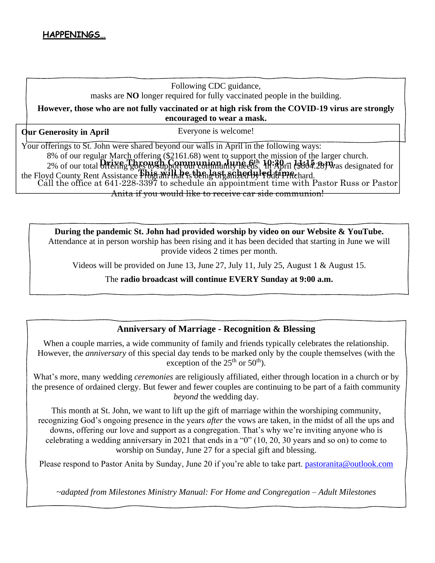#### Following CDC guidance, masks are **NO** longer required for fully vaccinated people in the building.

**However, those who are not fully vaccinated or at high risk from the COVID-19 virus are strongly encouraged to wear a mask.** 

**Our Generosity in April** 

Everyone is welcome!

Your offerings to St. John were shared beyond our walls in April in the following ways: 8% of our regular March offering (\$2161.68) went to support the mission of the larger church. 2% of our total offering goes to support our community needs. In April (\$804.28) was designated for **Drive Through Communion June 6th 10:30 – 11:15 a.m.** the Floyd County Rent Assistance Phistani<sup>1</sup> that is then east and red time hard. Call the office at 641-228-3397 to schedule an appointment time with Pastor Russ or Pastor Anita if you would like to receive car side communion!

**During the pandemic St. John had provided worship by video on our Website & YouTube.**  Attendance at in person worship has been rising and it has been decided that starting in June we will provide videos 2 times per month.

Videos will be provided on June 13, June 27, July 11, July 25, August 1 & August 15.

The **radio broadcast will continue EVERY Sunday at 9:00 a.m.**

#### **Anniversary of Marriage - Recognition & Blessing**

When a couple marries, a wide community of family and friends typically celebrates the relationship. However, the *anniversary* of this special day tends to be marked only by the couple themselves (with the exception of the  $25<sup>th</sup>$  or  $50<sup>th</sup>$ ).

What's more, many wedding *ceremonies* are religiously affiliated, either through location in a church or by the presence of ordained clergy. But fewer and fewer couples are continuing to be part of a faith community *beyond* the wedding day.

This month at St. John, we want to lift up the gift of marriage within the worshiping community, recognizing God's ongoing presence in the years *after* the vows are taken, in the midst of all the ups and downs, offering our love and support as a congregation. That's why we're inviting anyone who is celebrating a wedding anniversary in 2021 that ends in a "0" (10, 20, 30 years and so on) to come to worship on Sunday, June 27 for a special gift and blessing.

Please respond to Pastor Anita by Sunday, June 20 if you're able to take part. [pastoranita@outlook.com](mailto:pastoranita@outlook.com)

*~adapted from Milestones Ministry Manual: For Home and Congregation – Adult Milestones*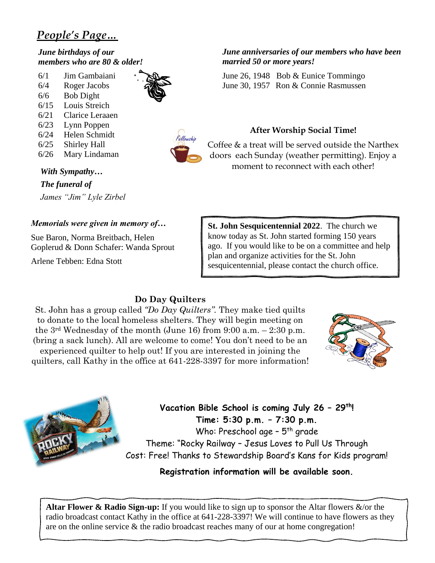### *People's Page…*

*June birthdays of our members who are 80 & older!*

6/1 Jim Gambaiani 6/4 Roger Jacobs 6/6 Bob Dight 6/15 Louis Streich 6/21 Clarice Leraaen 6/23 Lynn Poppen 6/24 Helen Schmidt 6/25 Shirley Hall 6/26 Mary Lindaman





*With Sympathy…*

*The funeral of James "Jim" Lyle Zirbel*

#### *Memorials were given in memory of…*

Sue Baron, Norma Breitbach, Helen Goplerud & Donn Schafer: Wanda Sprout

Arlene Tebben: Edna Stott

#### *June anniversaries of our members who have been married 50 or more years!*

June 26, 1948 Bob & Eunice Tommingo June 30, 1957 Ron & Connie Rasmussen

#### **After Worship Social Time!**

Coffee & a treat will be served outside the Narthex doors each Sunday (weather permitting). Enjoy a moment to reconnect with each other!

**St. John Sesquicentennial 2022**. The church we know today as St. John started forming 150 years ago. If you would like to be on a committee and help plan and organize activities for the St. John sesquicentennial, please contact the church office.

#### **Do Day Quilters**

St. John has a group called *"Do Day Quilters".* They make tied quilts to donate to the local homeless shelters. They will begin meeting on the  $3<sup>rd</sup>$  Wednesday of the month (June 16) from 9:00 a.m.  $-2:30$  p.m. (bring a sack lunch). All are welcome to come! You don't need to be an experienced quilter to help out! If you are interested in joining the quilters, call Kathy in the office at 641-228-3397 for more information!





**Vacation Bible School is coming July 26 – 29th! Time: 5:30 p.m. – 7:30 p.m.**

Who: Preschool age - 5<sup>th</sup> grade Theme: "Rocky Railway – Jesus Loves to Pull Us Through Cost: Free! Thanks to Stewardship Board's Kans for Kids program!

#### **Registration information will be available soon.**

**Altar Flower & Radio Sign-up:** If you would like to sign up to sponsor the Altar flowers &/or the radio broadcast contact Kathy in the office at 641-228-3397! We will continue to have flowers as they are on the online service & the radio broadcast reaches many of our at home congregation!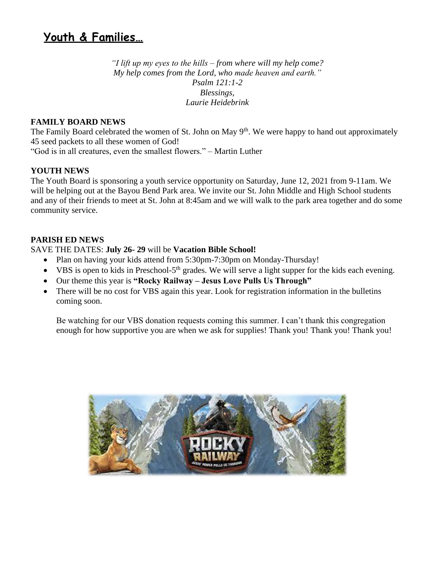## **Youth & Families…**

*"I lift up my eyes to the hills – from where will my help come? My help comes from the Lord, who made heaven and earth." Psalm 121:1-2 Blessings, Laurie Heidebrink*

#### **FAMILY BOARD NEWS**

The Family Board celebrated the women of St. John on May 9<sup>th</sup>. We were happy to hand out approximately 45 seed packets to all these women of God!

"God is in all creatures, even the smallest flowers." – Martin Luther

#### **YOUTH NEWS**

The Youth Board is sponsoring a youth service opportunity on Saturday, June 12, 2021 from 9-11am. We will be helping out at the Bayou Bend Park area. We invite our St. John Middle and High School students and any of their friends to meet at St. John at 8:45am and we will walk to the park area together and do some community service.

#### **PARISH ED NEWS**

SAVE THE DATES: **July 26- 29** will be **Vacation Bible School!**

- Plan on having your kids attend from 5:30pm-7:30pm on Monday-Thursday!
- VBS is open to kids in Preschool-5<sup>th</sup> grades. We will serve a light supper for the kids each evening.
- Our theme this year is **"Rocky Railway – Jesus Love Pulls Us Through"**
- There will be no cost for VBS again this year. Look for registration information in the bulletins coming soon.

Be watching for our VBS donation requests coming this summer. I can't thank this congregation enough for how supportive you are when we ask for supplies! Thank you! Thank you! Thank you!

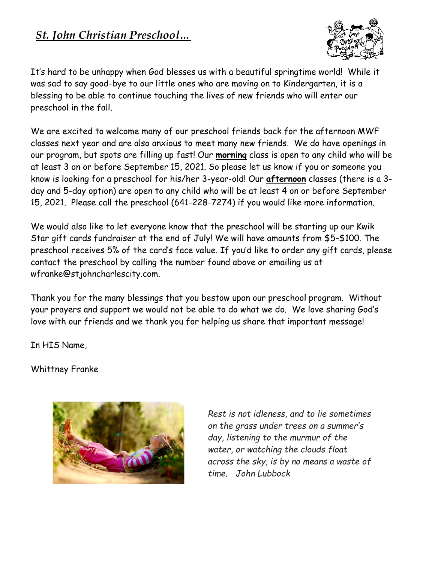### *St. John Christian Preschool…*



It's hard to be unhappy when God blesses us with a beautiful springtime world! While it was sad to say good-bye to our little ones who are moving on to Kindergarten, it is a blessing to be able to continue touching the lives of new friends who will enter our preschool in the fall.

We are excited to welcome many of our preschool friends back for the afternoon MWF classes next year and are also anxious to meet many new friends. We do have openings in our program, but spots are filling up fast! Our **morning** class is open to any child who will be at least 3 on or before September 15, 2021. So please let us know if you or someone you know is looking for a preschool for his/her 3-year-old! Our **afternoon** classes (there is a 3 day and 5-day option) are open to any child who will be at least 4 on or before September 15, 2021. Please call the preschool (641-228-7274) if you would like more information.

We would also like to let everyone know that the preschool will be starting up our Kwik Star gift cards fundraiser at the end of July! We will have amounts from \$5-\$100. The preschool receives 5% of the card's face value. If you'd like to order any gift cards, please contact the preschool by calling the number found above or emailing us at wfranke@stjohncharlescity.com.

Thank you for the many blessings that you bestow upon our preschool program. Without your prayers and support we would not be able to do what we do. We love sharing God's love with our friends and we thank you for helping us share that important message!

In HIS Name,

Whittney Franke



*Rest is not idleness, and to lie sometimes on the grass under trees on a summer's day, listening to the murmur of the water, or watching the clouds float across the sky, is by no means a waste of time. John Lubbock*